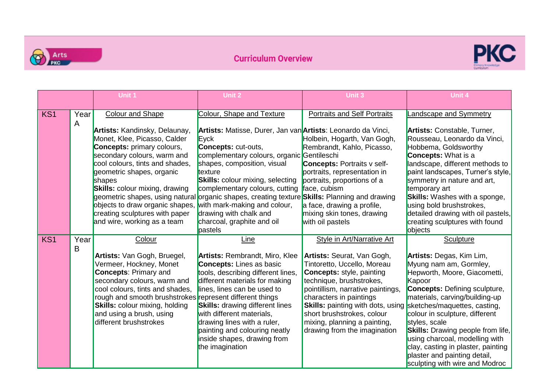



|                 |           | Unit 1                                                                                                                                                                                                                                                                                                                                                          | Unit 2                                                                                                                                                                                                                                                                                                                                                                                                                                                                      | Unit 3                                                                                                                                                                                                                                                                                                                                                                   | Unit 4                                                                                                                                                                                                                                                                                                                                                                                                                                                       |
|-----------------|-----------|-----------------------------------------------------------------------------------------------------------------------------------------------------------------------------------------------------------------------------------------------------------------------------------------------------------------------------------------------------------------|-----------------------------------------------------------------------------------------------------------------------------------------------------------------------------------------------------------------------------------------------------------------------------------------------------------------------------------------------------------------------------------------------------------------------------------------------------------------------------|--------------------------------------------------------------------------------------------------------------------------------------------------------------------------------------------------------------------------------------------------------------------------------------------------------------------------------------------------------------------------|--------------------------------------------------------------------------------------------------------------------------------------------------------------------------------------------------------------------------------------------------------------------------------------------------------------------------------------------------------------------------------------------------------------------------------------------------------------|
| KS <sub>1</sub> | Year      | <b>Colour and Shape</b>                                                                                                                                                                                                                                                                                                                                         | Colour, Shape and Texture                                                                                                                                                                                                                                                                                                                                                                                                                                                   | <b>Portraits and Self Portraits</b>                                                                                                                                                                                                                                                                                                                                      | Landscape and Symmetry                                                                                                                                                                                                                                                                                                                                                                                                                                       |
|                 | A         | <b>Artists: Kandinsky, Delaunay,</b><br>Monet, Klee, Picasso, Calder<br><b>Concepts:</b> primary colours,<br>secondary colours, warm and<br>cool colours, tints and shades,<br>geometric shapes, organic<br>shapes<br><b>Skills:</b> colour mixing, drawing<br>objects to draw organic shapes,<br>creating sculptures with paper<br>and wire, working as a team | Artists: Matisse, Durer, Jan van Artists: Leonardo da Vinci,<br>Eyck<br><b>Concepts: cut-outs,</b><br>complementary colours, organic Gentileschi<br>shapes, composition, visual<br>texture<br><b>Skills:</b> colour mixing, selecting<br>complementary colours, cutting<br>geometric shapes, using natural organic shapes, creating texture Skills: Planning and drawing<br>with mark-making and colour,<br>drawing with chalk and<br>charcoal, graphite and oil<br>pastels | Holbein, Hogarth, Van Gogh,<br>Rembrandt, Kahlo, Picasso,<br><b>Concepts: Portraits v self-</b><br>portraits, representation in<br>portraits, proportions of a<br>face, cubism<br>a face, drawing a profile,<br>mixing skin tones, drawing<br>with oil pastels                                                                                                           | Artists: Constable, Turner,<br>Rousseau, Leonardo da Vinci,<br>Hobbema, Goldsworthy<br><b>Concepts: What is a</b><br>landscape, different methods to<br>paint landscapes, Turner's style,<br>symmetry in nature and art,<br>temporary art<br><b>Skills:</b> Washes with a sponge,<br>using bold brushstrokes,<br>detailed drawing with oil pastels,<br>creating sculptures with found<br>objects                                                             |
| KS <sub>1</sub> | Year<br>B | Colour<br>Artists: Van Gogh, Bruegel,<br>Vermeer, Hockney, Monet<br><b>Concepts: Primary and</b><br>secondary colours, warm and<br>cool colours, tints and shades,<br>rough and smooth brushstrokes represent different things<br><b>Skills:</b> colour mixing, holding<br>and using a brush, using<br>different brushstrokes                                   | Line<br><b>Artists: Rembrandt, Miro, Klee</b><br><b>Concepts:</b> Lines as basic<br>tools, describing different lines,<br>different materials for making<br>lines, lines can be used to<br><b>Skills:</b> drawing different lines<br>with different materials,<br>drawing lines with a ruler,<br>painting and colouring neatly<br>inside shapes, drawing from<br>the imagination                                                                                            | <b>Style in Art/Narrative Art</b><br>Artists: Seurat, Van Gogh,<br>Tintoretto, Uccello, Moreau<br><b>Concepts: style, painting</b><br>technique, brushstrokes,<br>pointillism, narrative paintings,<br>characters in paintings<br><b>Skills:</b> painting with dots, using<br>short brushstrokes, colour<br>mixing, planning a painting,<br>drawing from the imagination | Sculpture<br>Artists: Degas, Kim Lim,<br>Myung nam am, Gormley,<br>Hepworth, Moore, Giacometti,<br>Kapoor<br><b>Concepts: Defining sculpture,</b><br>materials, carving/building-up<br>sketches/maquettes, casting,<br>colour in sculpture, different<br>styles, scale<br><b>Skills:</b> Drawing people from life,<br>using charcoal, modelling with<br>clay, casting in plaster, painting<br>plaster and painting detail,<br>sculpting with wire and Modroc |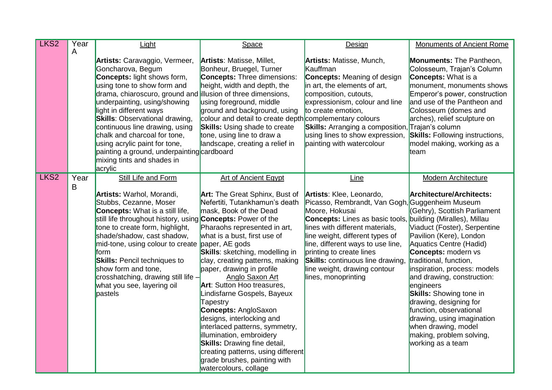| LKS <sub>2</sub> | Year<br>A | Light                                                                                                                                                                                                                                                                                                                                                                                                                                                                                 | Space                                                                                                                                                                                                                                                                                                                                                                                                                                                                                                                                                                                                                                                                  | Design                                                                                                                                                                                                                                                                                                                                                                                   | Monuments of Ancient Rome                                                                                                                                                                                                                                                                                                                                                                                                                                                                                                                          |
|------------------|-----------|---------------------------------------------------------------------------------------------------------------------------------------------------------------------------------------------------------------------------------------------------------------------------------------------------------------------------------------------------------------------------------------------------------------------------------------------------------------------------------------|------------------------------------------------------------------------------------------------------------------------------------------------------------------------------------------------------------------------------------------------------------------------------------------------------------------------------------------------------------------------------------------------------------------------------------------------------------------------------------------------------------------------------------------------------------------------------------------------------------------------------------------------------------------------|------------------------------------------------------------------------------------------------------------------------------------------------------------------------------------------------------------------------------------------------------------------------------------------------------------------------------------------------------------------------------------------|----------------------------------------------------------------------------------------------------------------------------------------------------------------------------------------------------------------------------------------------------------------------------------------------------------------------------------------------------------------------------------------------------------------------------------------------------------------------------------------------------------------------------------------------------|
|                  |           | Artists: Caravaggio, Vermeer,<br>Goncharova, Begum<br><b>Concepts: light shows form,</b><br>using tone to show form and<br>drama, chiaroscuro, ground and illusion of three dimensions,<br>underpainting, using/showing<br>light in different ways<br><b>Skills: Observational drawing,</b><br>continuous line drawing, using<br>chalk and charcoal for tone,<br>using acrylic paint for tone,<br>painting a ground, underpainting cardboard<br>mixing tints and shades in<br>acrylic | <b>Artists: Matisse, Millet,</b><br>Bonheur, Bruegel, Turner<br><b>Concepts:</b> Three dimensions:<br>height, width and depth, the<br>using foreground, middle<br>ground and background, using<br>colour and detail to create depth complementary colours<br><b>Skills:</b> Using shade to create<br>tone, using line to draw a<br>landscape, creating a relief in                                                                                                                                                                                                                                                                                                     | <b>Artists: Matisse, Munch,</b><br>Kauffman<br><b>Concepts:</b> Meaning of design<br>in art, the elements of art,<br>composition, cutouts,<br>expressionism, colour and line<br>to create emotion,<br><b>Skills:</b> Arranging a composition, Trajan's column<br>using lines to show expression,<br>painting with watercolour                                                            | <b>Monuments: The Pantheon,</b><br>Colosseum, Trajan's Column<br><b>Concepts:</b> What is a<br>monument, monuments shows<br>Emperor's power, construction<br>and use of the Pantheon and<br>Colosseum (domes and<br>arches), relief sculpture on<br><b>Skills:</b> Following instructions,<br>model making, working as a<br>team                                                                                                                                                                                                                   |
| LKS <sub>2</sub> | Year<br>B | Still Life and Form<br>Artists: Warhol, Morandi,<br>Stubbs, Cezanne, Moser<br><b>Concepts:</b> What is a still life,<br>still life throughout history, using <b>Concepts:</b> Power of the<br>tone to create form, highlight,<br>shade/shadow, cast shadow,<br>mid-tone, using colour to create paper, AE gods<br>form<br><b>Skills: Pencil techniques to</b><br>show form and tone,<br>crosshatching, drawing still life -<br>what you see, layering oil<br>pastels                  | <b>Art of Ancient Egypt</b><br><b>Art:</b> The Great Sphinx, Bust of<br>Nefertiti, Tutankhamun's death<br>mask, Book of the Dead<br>Pharaohs represented in art,<br>what is a bust, first use of<br><b>Skills:</b> sketching, modelling in<br>clay, creating patterns, making<br>paper, drawing in profile<br>Anglo Saxon Art<br>Art: Sutton Hoo treasures,<br>Lindisfarne Gospels, Bayeux<br>Tapestry<br><b>Concepts: AngloSaxon</b><br>designs, interlocking and<br>interlaced patterns, symmetry,<br>illumination, embroidery<br><b>Skills:</b> Drawing fine detail,<br>creating patterns, using different<br>grade brushes, painting with<br>watercolours, collage | Line<br>Artists: Klee, Leonardo,<br>Picasso, Rembrandt, Van Gogh, Guggenheim Museum<br>Moore, Hokusai<br><b>Concepts:</b> Lines as basic tools,<br>lines with different materials,<br>line weight, different types of<br>line, different ways to use line,<br>printing to create lines<br><b>Skills:</b> continuous line drawing,<br>line weight, drawing contour<br>lines, monoprinting | <b>Modern Architecture</b><br><b>Architecture/Architects:</b><br>(Gehry), Scottish Parliament<br>building (Miralles), Millau<br>Viaduct (Foster), Serpentine<br>Pavilion (Kere), London<br>Aquatics Centre (Hadid)<br><b>Concepts:</b> modern vs<br>traditional, function,<br>inspiration, process: models<br>and drawing, construction:<br>engineers<br><b>Skills:</b> Showing tone in<br>drawing, designing for<br>function, observational<br>drawing, using imagination<br>when drawing, model<br>making, problem solving,<br>working as a team |